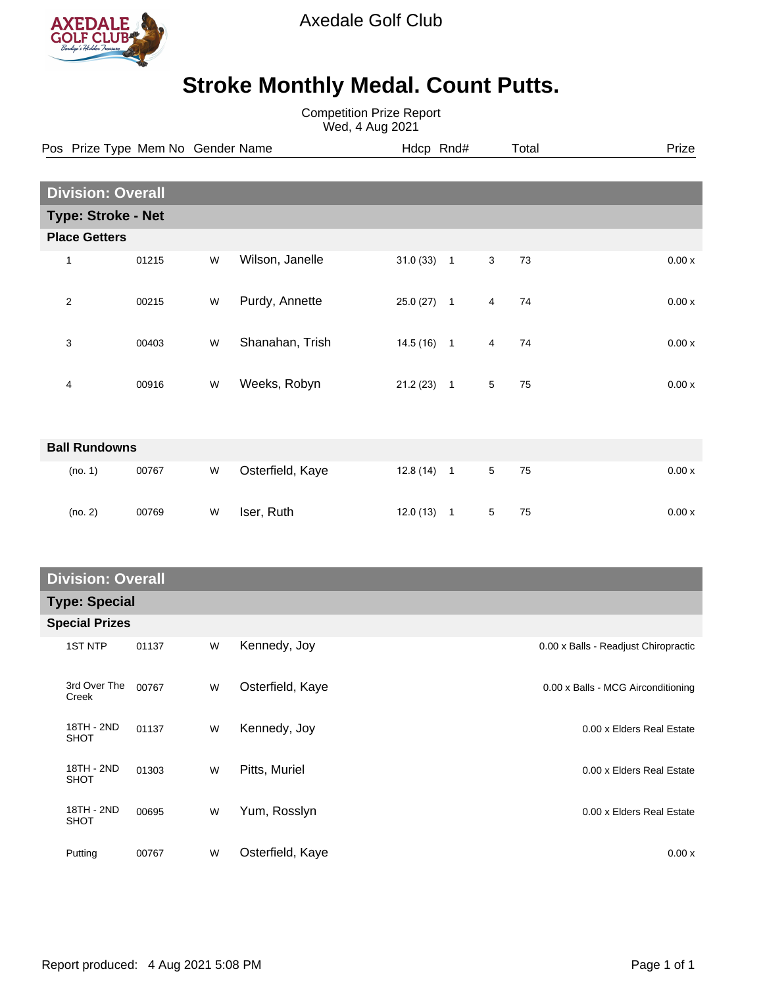

Axedale Golf Club

## **Stroke Monthly Medal. Count Putts.**

Competition Prize Report Wed, 4 Aug 2021

|                      | Pos Prize Type Mem No Gender Name |       |   |                  | Hdcp Rnd#    |                |                 | Total | Prize |
|----------------------|-----------------------------------|-------|---|------------------|--------------|----------------|-----------------|-------|-------|
|                      |                                   |       |   |                  |              |                |                 |       |       |
|                      | <b>Division: Overall</b>          |       |   |                  |              |                |                 |       |       |
|                      | <b>Type: Stroke - Net</b>         |       |   |                  |              |                |                 |       |       |
|                      | <b>Place Getters</b>              |       |   |                  |              |                |                 |       |       |
|                      | 1                                 | 01215 | W | Wilson, Janelle  | $31.0(33)$ 1 |                | 3               | 73    | 0.00x |
|                      | $\overline{2}$                    | 00215 | W | Purdy, Annette   | $25.0(27)$ 1 |                | $\overline{4}$  | 74    | 0.00x |
|                      | 3                                 | 00403 | W | Shanahan, Trish  | $14.5(16)$ 1 |                | 4               | 74    | 0.00x |
|                      | 4                                 | 00916 | W | Weeks, Robyn     | $21.2(23)$ 1 |                | 5               | 75    | 0.00x |
| <b>Ball Rundowns</b> |                                   |       |   |                  |              |                |                 |       |       |
|                      | (no. 1)                           | 00767 | W | Osterfield, Kaye | 12.8(14)     | $\overline{1}$ | $5\phantom{.0}$ | 75    | 0.00x |
|                      | (no. 2)                           | 00769 | W | Iser, Ruth       | $12.0(13)$ 1 |                | 5               | 75    | 0.00x |

## **Division: Overall Type: Special**

| i ype: Special        |       |   |                  |                                      |  |  |
|-----------------------|-------|---|------------------|--------------------------------------|--|--|
| <b>Special Prizes</b> |       |   |                  |                                      |  |  |
| <b>1ST NTP</b>        | 01137 | W | Kennedy, Joy     | 0.00 x Balls - Readjust Chiropractic |  |  |
| 3rd Over The<br>Creek | 00767 | W | Osterfield, Kaye | 0.00 x Balls - MCG Airconditioning   |  |  |
| 18TH - 2ND<br>SHOT    | 01137 | W | Kennedy, Joy     | 0.00 x Elders Real Estate            |  |  |
| 18TH - 2ND<br>SHOT    | 01303 | W | Pitts, Muriel    | 0.00 x Elders Real Estate            |  |  |
| 18TH - 2ND<br>SHOT    | 00695 | W | Yum, Rosslyn     | 0.00 x Elders Real Estate            |  |  |
| Putting               | 00767 | W | Osterfield, Kaye | 0.00x                                |  |  |